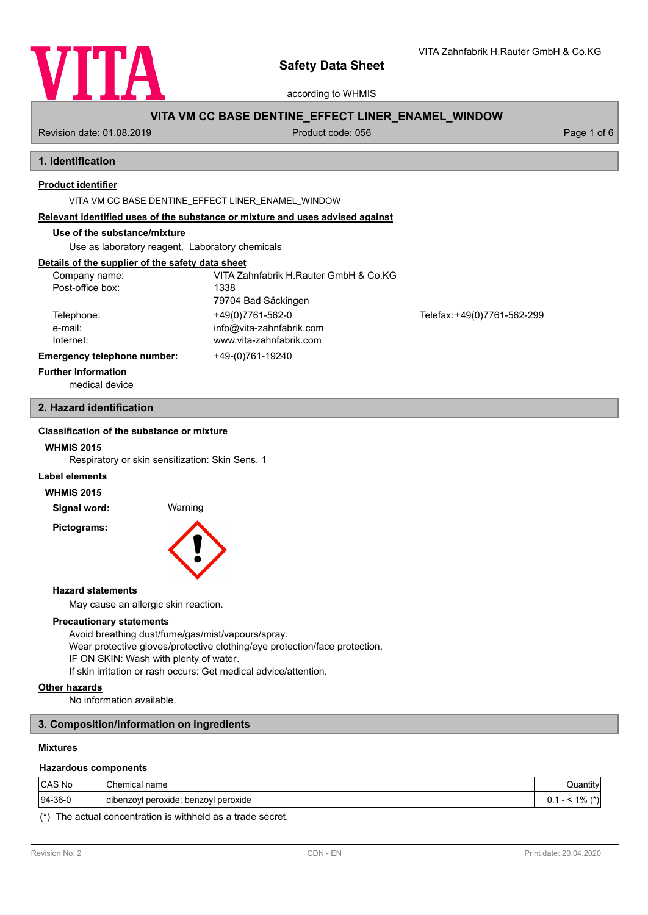

according to WHMIS

# **VITA VM CC BASE DENTINE\_EFFECT LINER\_ENAMEL\_WINDOW**

Revision date: 01.08.2019 **Product code: 056** Product code: 056 Page 1 of 6

# **1. Identification**

## **Product identifier**

VITA VM CC BASE DENTINE\_EFFECT LINER\_ENAMEL\_WINDOW

#### **Relevant identified uses of the substance or mixture and uses advised against**

# **Use of the substance/mixture**

Use as laboratory reagent, Laboratory chemicals

## **Details of the supplier of the safety data sheet**

| Company name:               | VITA Zahnfabrik H.Rauter GmbH & Co.KG |                             |
|-----------------------------|---------------------------------------|-----------------------------|
| Post-office box:            | 1338                                  |                             |
|                             | 79704 Bad Säckingen                   |                             |
| Telephone:                  | +49(0)7761-562-0                      | Telefax: +49(0)7761-562-299 |
| e-mail:                     | info@vita-zahnfabrik.com              |                             |
| Internet:                   | www.vita-zahnfabrik.com               |                             |
| Emergency telephone number: | +49-(0)761-19240                      |                             |
| Eurthar Information         |                                       |                             |

# **Further Information**

medical device

# **2. Hazard identification**

# **Classification of the substance or mixture**

## **WHMIS 2015**

Respiratory or skin sensitization: Skin Sens. 1

## **Label elements**

#### **WHMIS 2015**

**Signal word:** Warning

**Pictograms:**



#### **Hazard statements**

May cause an allergic skin reaction.

## **Precautionary statements**

Avoid breathing dust/fume/gas/mist/vapours/spray. Wear protective gloves/protective clothing/eye protection/face protection. IF ON SKIN: Wash with plenty of water. If skin irritation or rash occurs: Get medical advice/attention.

#### **Other hazards**

No information available.

## **3. Composition/information on ingredients**

## **Mixtures**

#### **Hazardous components**

| CAS No         | Chemical<br>name                           | $\cdots$<br>Juantity'                               |
|----------------|--------------------------------------------|-----------------------------------------------------|
| $ 94 - 36 - 0$ | benzoyl peroxide<br>peroxide;<br>dibenzovi | $1\%$<br>$4 + 1.$<br>--<br>ν.,<br>$^{\prime\prime}$ |

(\*) The actual concentration is withheld as a trade secret.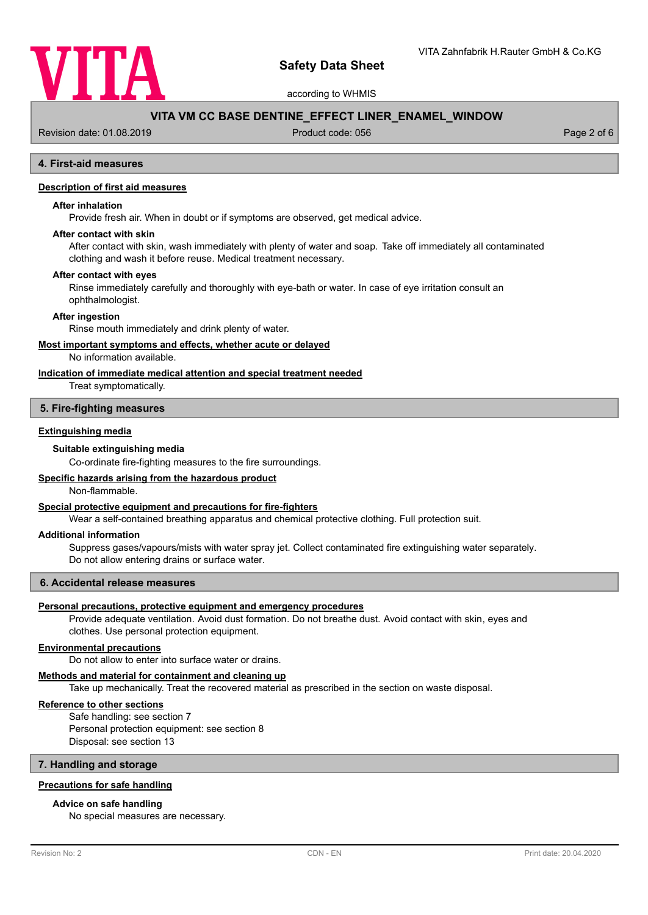

according to WHMIS

# **VITA VM CC BASE DENTINE\_EFFECT LINER\_ENAMEL\_WINDOW**

Revision date: 01.08.2019 **Product code: 056** Product code: 056 Page 2 of 6

# **4. First-aid measures**

## **Description of first aid measures**

# **After inhalation**

Provide fresh air. When in doubt or if symptoms are observed, get medical advice.

#### **After contact with skin**

After contact with skin, wash immediately with plenty of water and soap. Take off immediately all contaminated clothing and wash it before reuse. Medical treatment necessary.

#### **After contact with eyes**

Rinse immediately carefully and thoroughly with eye-bath or water. In case of eye irritation consult an ophthalmologist.

#### **After ingestion**

Rinse mouth immediately and drink plenty of water.

#### **Most important symptoms and effects, whether acute or delayed**

No information available.

## **Indication of immediate medical attention and special treatment needed**

Treat symptomatically.

#### **5. Fire-fighting measures**

### **Extinguishing media**

#### **Suitable extinguishing media**

Co-ordinate fire-fighting measures to the fire surroundings.

## **Specific hazards arising from the hazardous product**

Non-flammable.

### **Special protective equipment and precautions for fire-fighters**

Wear a self-contained breathing apparatus and chemical protective clothing. Full protection suit.

#### **Additional information**

Suppress gases/vapours/mists with water spray jet. Collect contaminated fire extinguishing water separately. Do not allow entering drains or surface water.

#### **6. Accidental release measures**

## **Personal precautions, protective equipment and emergency procedures**

Provide adequate ventilation. Avoid dust formation. Do not breathe dust. Avoid contact with skin, eyes and clothes. Use personal protection equipment.

## **Environmental precautions**

Do not allow to enter into surface water or drains.

#### **Methods and material for containment and cleaning up**

Take up mechanically. Treat the recovered material as prescribed in the section on waste disposal.

## **Reference to other sections**

Safe handling: see section 7 Personal protection equipment: see section 8 Disposal: see section 13

**7. Handling and storage**

## **Precautions for safe handling**

#### **Advice on safe handling**

No special measures are necessary.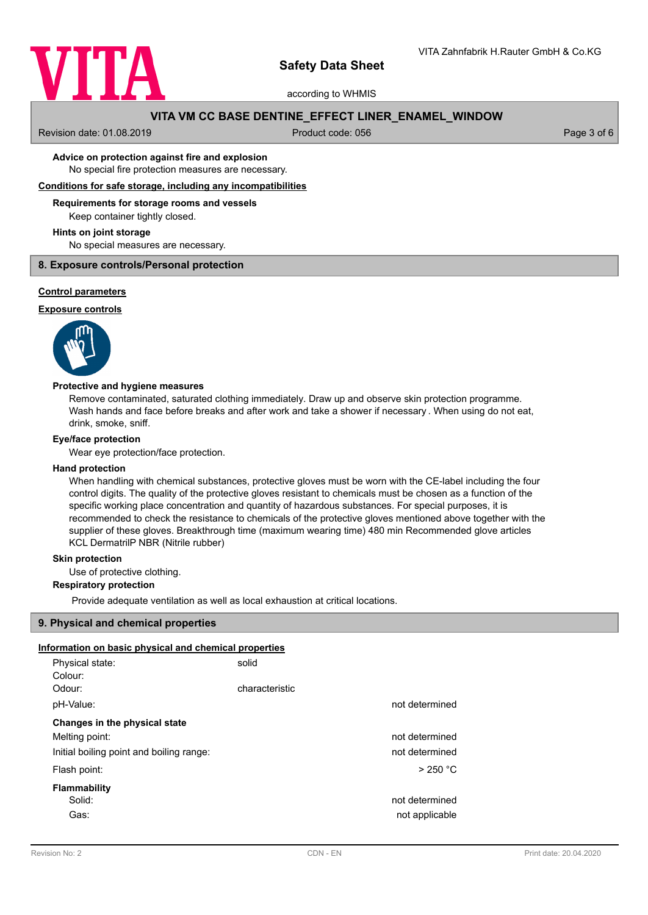

according to WHMIS

# **VITA VM CC BASE DENTINE\_EFFECT LINER\_ENAMEL\_WINDOW**

Revision date: 01.08.2019 **Product code: 056** Product code: 056 Page 3 of 6

### No special fire protection measures are necessary. **Advice on protection against fire and explosion**

**Conditions for safe storage, including any incompatibilities**

#### **Requirements for storage rooms and vessels**

Keep container tightly closed.

#### **Hints on joint storage**

No special measures are necessary.

### **8. Exposure controls/Personal protection**

#### **Control parameters**

## **Exposure controls**



### **Protective and hygiene measures**

Remove contaminated, saturated clothing immediately. Draw up and observe skin protection programme. Wash hands and face before breaks and after work and take a shower if necessary . When using do not eat, drink, smoke, sniff.

### **Eye/face protection**

Wear eye protection/face protection.

#### **Hand protection**

When handling with chemical substances, protective gloves must be worn with the CE-label including the four control digits. The quality of the protective gloves resistant to chemicals must be chosen as a function of the specific working place concentration and quantity of hazardous substances. For special purposes, it is recommended to check the resistance to chemicals of the protective gloves mentioned above together with the supplier of these gloves. Breakthrough time (maximum wearing time) 480 min Recommended glove articles KCL DermatrilP NBR (Nitrile rubber)

## **Skin protection**

Use of protective clothing.

## **Respiratory protection**

Provide adequate ventilation as well as local exhaustion at critical locations.

### **9. Physical and chemical properties**

# **Information on basic physical and chemical properties**

| Physical state:                          | solid          |                |
|------------------------------------------|----------------|----------------|
| Colour:                                  |                |                |
| Odour:                                   | characteristic |                |
| pH-Value:                                |                | not determined |
| Changes in the physical state            |                |                |
| Melting point:                           |                | not determined |
| Initial boiling point and boiling range: |                | not determined |
| Flash point:                             |                | $>$ 250 °C     |
| Flammability                             |                |                |
| Solid:                                   |                | not determined |
| Gas:                                     |                | not applicable |
|                                          |                |                |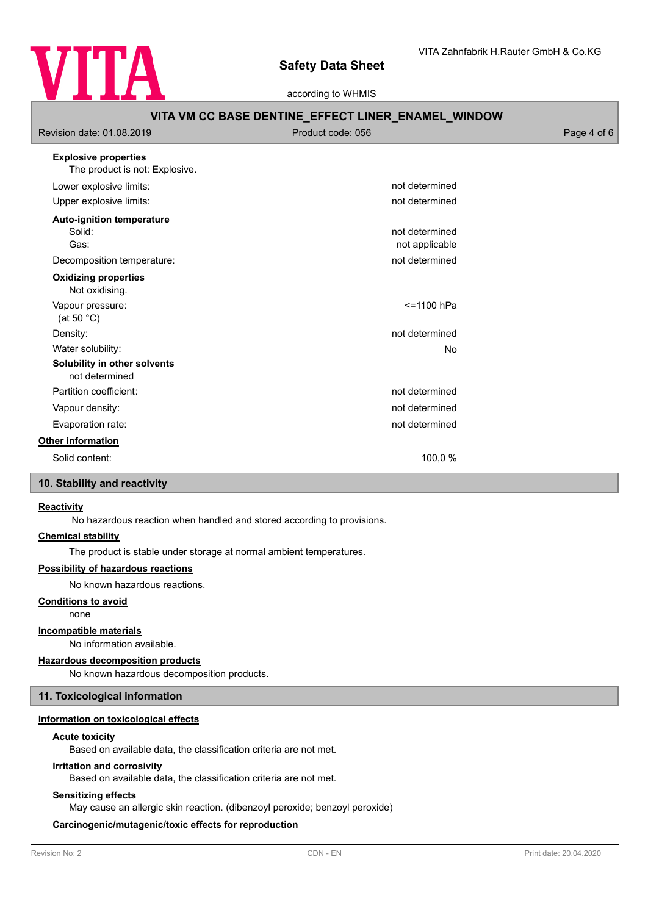

|                                                                           | according to WHMIS                                 |             |  |  |  |
|---------------------------------------------------------------------------|----------------------------------------------------|-------------|--|--|--|
| VITA VM CC BASE DENTINE_EFFECT LINER_ENAMEL_WINDOW                        |                                                    |             |  |  |  |
| Revision date: 01.08.2019                                                 | Product code: 056                                  | Page 4 of 6 |  |  |  |
| <b>Explosive properties</b><br>The product is not: Explosive.             |                                                    |             |  |  |  |
| Lower explosive limits:                                                   | not determined                                     |             |  |  |  |
| Upper explosive limits:                                                   | not determined                                     |             |  |  |  |
| Auto-ignition temperature<br>Solid:<br>Gas:<br>Decomposition temperature: | not determined<br>not applicable<br>not determined |             |  |  |  |
| <b>Oxidizing properties</b><br>Not oxidising.                             |                                                    |             |  |  |  |
| Vapour pressure:<br>(at 50 $^{\circ}$ C)                                  | <=1100 hPa                                         |             |  |  |  |
| Density:                                                                  | not determined                                     |             |  |  |  |
| Water solubility:                                                         | No                                                 |             |  |  |  |
| Solubility in other solvents<br>not determined                            |                                                    |             |  |  |  |
| Partition coefficient:                                                    | not determined                                     |             |  |  |  |
| Vapour density:                                                           | not determined                                     |             |  |  |  |
| Evaporation rate:                                                         | not determined                                     |             |  |  |  |

# **Other information**

Solid content: 100,0 %

# **10. Stability and reactivity**

#### **Reactivity**

No hazardous reaction when handled and stored according to provisions.

#### **Chemical stability**

The product is stable under storage at normal ambient temperatures.

### **Possibility of hazardous reactions**

No known hazardous reactions.

# **Conditions to avoid**

none

# **Incompatible materials**

No information available.

# **Hazardous decomposition products**

No known hazardous decomposition products.

# **11. Toxicological information**

# **Information on toxicological effects**

# **Acute toxicity**

Based on available data, the classification criteria are not met.

# **Irritation and corrosivity**

Based on available data, the classification criteria are not met.

# **Sensitizing effects**

May cause an allergic skin reaction. (dibenzoyl peroxide; benzoyl peroxide)

# **Carcinogenic/mutagenic/toxic effects for reproduction**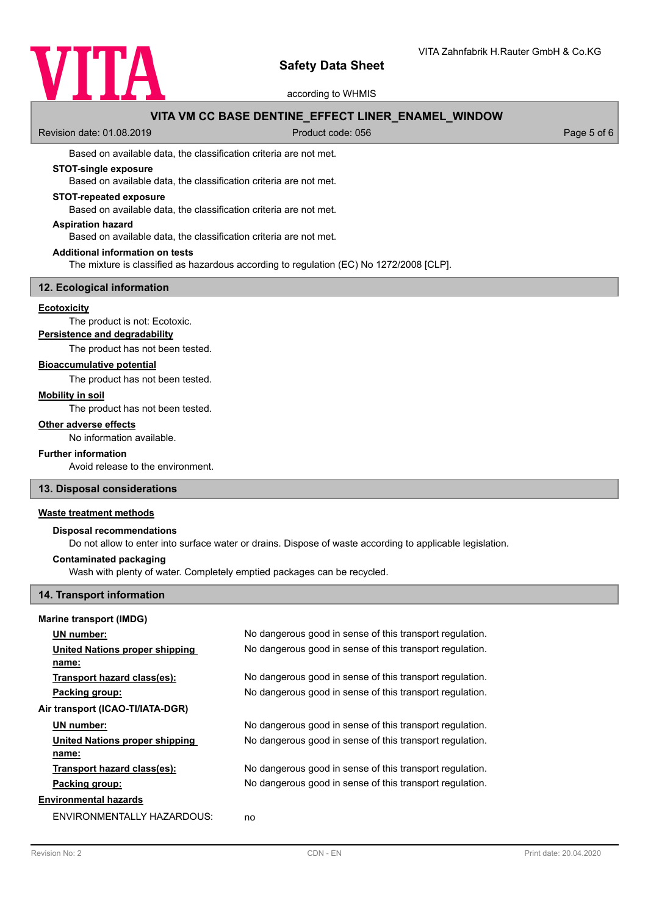

according to WHMIS

# **VITA VM CC BASE DENTINE\_EFFECT LINER\_ENAMEL\_WINDOW**

Revision date: 01.08.2019 **Product code: 056** Product code: 056 Page 5 of 6

Based on available data, the classification criteria are not met.

# **STOT-single exposure**

Based on available data, the classification criteria are not met.

#### **STOT-repeated exposure**

Based on available data, the classification criteria are not met.

# **Aspiration hazard**

Based on available data, the classification criteria are not met.

#### **Additional information on tests**

The mixture is classified as hazardous according to regulation (EC) No 1272/2008 [CLP].

# **12. Ecological information**

## **Ecotoxicity**

The product is not: Ecotoxic.

**Persistence and degradability**

The product has not been tested.

#### **Bioaccumulative potential**

The product has not been tested.

#### **Mobility in soil**

The product has not been tested.

#### **Other adverse effects**

No information available.

# **Further information**

Avoid release to the environment.

## **13. Disposal considerations**

# **Waste treatment methods**

#### **Disposal recommendations**

Do not allow to enter into surface water or drains. Dispose of waste according to applicable legislation.

#### **Contaminated packaging**

Wash with plenty of water. Completely emptied packages can be recycled.

## **14. Transport information**

#### **Marine transport (IMDG)**

|                                  | UN number:                     | No dangerous good in sense of this transport regulation. |  |
|----------------------------------|--------------------------------|----------------------------------------------------------|--|
|                                  | United Nations proper shipping | No dangerous good in sense of this transport regulation. |  |
|                                  | name:                          |                                                          |  |
|                                  | Transport hazard class(es):    | No dangerous good in sense of this transport regulation. |  |
|                                  | Packing group:                 | No dangerous good in sense of this transport regulation. |  |
| Air transport (ICAO-TI/IATA-DGR) |                                |                                                          |  |
|                                  | UN number:                     | No dangerous good in sense of this transport regulation. |  |
|                                  | United Nations proper shipping | No dangerous good in sense of this transport regulation. |  |
|                                  | name:                          |                                                          |  |
|                                  | Transport hazard class(es):    | No dangerous good in sense of this transport regulation. |  |
|                                  | Packing group:                 | No dangerous good in sense of this transport regulation. |  |
| Environmental hazards            |                                |                                                          |  |
|                                  | ENVIRONMENTALLY HAZARDOUS:     | no                                                       |  |